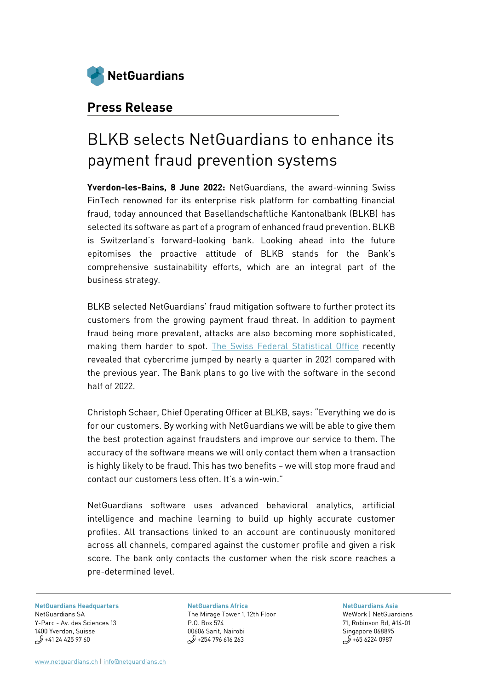

### **Press Release**

# BLKB selects NetGuardians to enhance its payment fraud prevention systems

**Yverdon-les-Bains, 8 June 2022:** NetGuardians, the award-winning Swiss FinTech renowned for its enterprise risk platform for combatting financial fraud, today announced that Basellandschaftliche Kantonalbank (BLKB) has selected its software as part of a program of enhanced fraud prevention. BLKB is Switzerland's forward-looking bank. Looking ahead into the future epitomises the proactive attitude of BLKB stands for the Bank's comprehensive sustainability efforts, which are an integral part of the business strategy.

BLKB selected NetGuardians' fraud mitigation software to further protect its customers from the growing payment fraud threat. In addition to payment fraud being more prevalent, attacks are also becoming more sophisticated, making them harder to spot. [The Swiss Federal Statistical Office](https://www.swissinfo.ch/eng/swiss-cyber-crime-incidents-increase-by-a-quarter/47469694) recently revealed that cybercrime jumped by nearly a quarter in 2021 compared with the previous year. The Bank plans to go live with the software in the second half of 2022.

Christoph Schaer, Chief Operating Officer at BLKB, says: "Everything we do is for our customers. By working with NetGuardians we will be able to give them the best protection against fraudsters and improve our service to them. The accuracy of the software means we will only contact them when a transaction is highly likely to be fraud. This has two benefits – we will stop more fraud and contact our customers less often. It's a win-win."

NetGuardians software uses advanced behavioral analytics, artificial intelligence and machine learning to build up highly accurate customer profiles. All transactions linked to an account are continuously monitored across all channels, compared against the customer profile and given a risk score. The bank only contacts the customer when the risk score reaches a pre-determined level.

**[NetGuardians Headquarters](https://www.google.com/maps/place/Avenue+des+Sciences+13,+1400+Yverdon-les-Bains/@46.7641624,6.6397033,17z/data=!3m1!4b1!4m5!3m4!1s0x478dcfbcbb40fa8f:0xe6d1447462224829!8m2!3d46.7641587!4d6.641892)** [NetGuardians SA](https://www.google.com/maps/place/Avenue+des+Sciences+13,+1400+Yverdon-les-Bains/@46.7641624,6.6397033,17z/data=!3m1!4b1!4m5!3m4!1s0x478dcfbcbb40fa8f:0xe6d1447462224829!8m2!3d46.7641587!4d6.641892) [Y-Parc - Av. des Sciences 13](https://www.google.com/maps/place/Avenue+des+Sciences+13,+1400+Yverdon-les-Bains/@46.7641624,6.6397033,17z/data=!3m1!4b1!4m5!3m4!1s0x478dcfbcbb40fa8f:0xe6d1447462224829!8m2!3d46.7641587!4d6.641892) [1400 Yverdon, Suisse](https://www.google.com/maps/place/Avenue+des+Sciences+13,+1400+Yverdon-les-Bains/@46.7641624,6.6397033,17z/data=!3m1!4b1!4m5!3m4!1s0x478dcfbcbb40fa8f:0xe6d1447462224829!8m2!3d46.7641587!4d6.641892)  $$41$  24 425 97 60

**[NetGuardians Africa](https://www.google.com/maps/place/Pentoffice+Mirage+Tower+2/@-1.2700631,36.8076804,15z/data=!4m5!3m4!1s0x0:0x438685c376c08a8b!8m2!3d-1.2700631!4d36.8076804)** The Mirage Tower 1, 12th Floor P.O. Box 574 00606 Sarit, Nairobi  $$$  +254 796 616 263

**[NetGuardians Asia](https://www.google.ch/maps/place/GB+Building/@1.2789141,103.8481374,15z/data=!4m2!3m1!1s0x0:0xf5ca6741bab90604?sa=X&ved=0ahUKEwjrv_Gy7KLaAhWTN8AKHZ6-Bx8Q_BIIeTAK)** WeWork | NetGuardians 71, Robinson Rd, #14-01 Singapore 068895

 $5.62240987$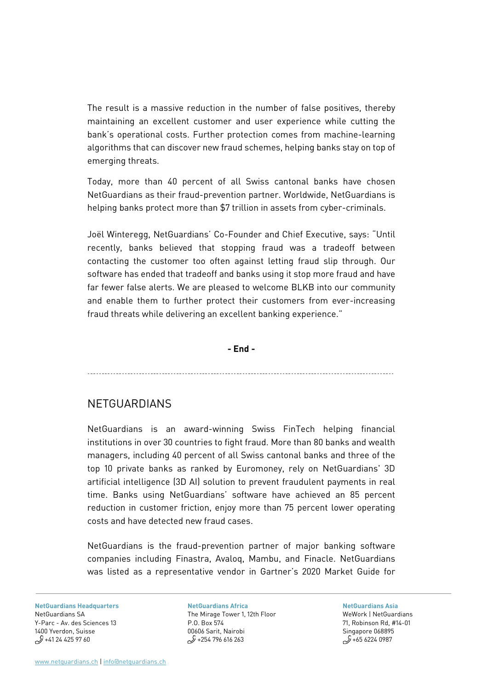The result is a massive reduction in the number of false positives, thereby maintaining an excellent customer and user experience while cutting the bank's operational costs. Further protection comes from machine-learning algorithms that can discover new fraud schemes, helping banks stay on top of emerging threats.

Today, more than 40 percent of all Swiss cantonal banks have chosen NetGuardians as their fraud-prevention partner. Worldwide, NetGuardians is helping banks protect more than \$7 trillion in assets from cyber-criminals.

Joël Winteregg, NetGuardians' Co-Founder and Chief Executive, says: "Until recently, banks believed that stopping fraud was a tradeoff between contacting the customer too often against letting fraud slip through. Our software has ended that tradeoff and banks using it stop more fraud and have far fewer false alerts. We are pleased to welcome BLKB into our community and enable them to further protect their customers from ever-increasing fraud threats while delivering an excellent banking experience."

### **- End -**

### **NETGUARDIANS**

 $\overline{\phantom{a}}$ 

NetGuardians is an award-winning Swiss FinTech helping financial institutions in over 30 countries to fight fraud. More than 80 banks and wealth managers, including 40 percent of all Swiss cantonal banks and three of the top 10 private banks as ranked by Euromoney, rely on NetGuardians' 3D artificial intelligence (3D AI) solution to prevent fraudulent payments in real time. Banks using NetGuardians' software have achieved an 85 percent reduction in customer friction, enjoy more than 75 percent lower operating costs and have detected new fraud cases.

NetGuardians is the fraud-prevention partner of major banking software companies including Finastra, Avaloq, Mambu, and Finacle. NetGuardians was listed as a representative vendor in Gartner's 2020 Market Guide for

**[NetGuardians Headquarters](https://www.google.com/maps/place/Avenue+des+Sciences+13,+1400+Yverdon-les-Bains/@46.7641624,6.6397033,17z/data=!3m1!4b1!4m5!3m4!1s0x478dcfbcbb40fa8f:0xe6d1447462224829!8m2!3d46.7641587!4d6.641892)** [NetGuardians SA](https://www.google.com/maps/place/Avenue+des+Sciences+13,+1400+Yverdon-les-Bains/@46.7641624,6.6397033,17z/data=!3m1!4b1!4m5!3m4!1s0x478dcfbcbb40fa8f:0xe6d1447462224829!8m2!3d46.7641587!4d6.641892) Y-Parc - [Av. des Sciences 13](https://www.google.com/maps/place/Avenue+des+Sciences+13,+1400+Yverdon-les-Bains/@46.7641624,6.6397033,17z/data=!3m1!4b1!4m5!3m4!1s0x478dcfbcbb40fa8f:0xe6d1447462224829!8m2!3d46.7641587!4d6.641892) [1400 Yverdon, Suisse](https://www.google.com/maps/place/Avenue+des+Sciences+13,+1400+Yverdon-les-Bains/@46.7641624,6.6397033,17z/data=!3m1!4b1!4m5!3m4!1s0x478dcfbcbb40fa8f:0xe6d1447462224829!8m2!3d46.7641587!4d6.641892)  $$^{9}+41$  24 425 97 60

**[NetGuardians Africa](https://www.google.com/maps/place/Pentoffice+Mirage+Tower+2/@-1.2700631,36.8076804,15z/data=!4m5!3m4!1s0x0:0x438685c376c08a8b!8m2!3d-1.2700631!4d36.8076804)** The Mirage Tower 1, 12th Floor P.O. Box 574 00606 Sarit, Nairobi  $$$  +254 796 616 263

**[NetGuardians Asia](https://www.google.ch/maps/place/GB+Building/@1.2789141,103.8481374,15z/data=!4m2!3m1!1s0x0:0xf5ca6741bab90604?sa=X&ved=0ahUKEwjrv_Gy7KLaAhWTN8AKHZ6-Bx8Q_BIIeTAK)** WeWork | NetGuardians 71, Robinson Rd, #14-01 Singapore 068895  $5.62240987$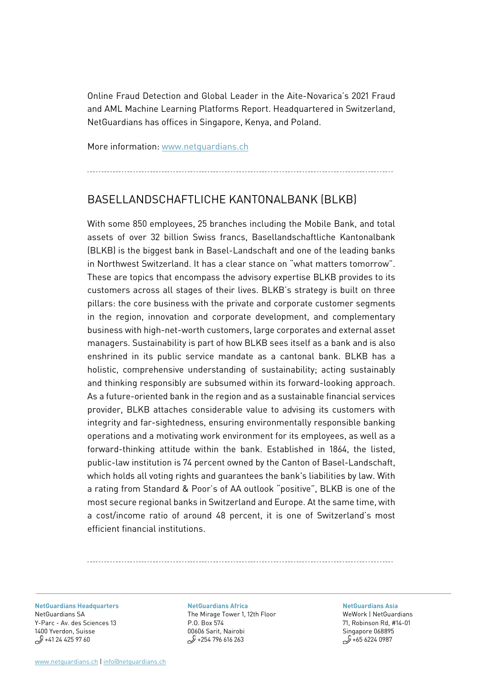Online Fraud Detection and Global Leader in the Aite-Novarica's 2021 Fraud and AML Machine Learning Platforms Report. Headquartered in Switzerland, NetGuardians has offices in Singapore, Kenya, and Poland.

More information: [www.netguardians.ch](http://www.netguardians.ch/)

# BASELLANDSCHAFTLICHE KANTONALBANK (BLKB)

With some 850 employees, 25 branches including the Mobile Bank, and total assets of over 32 billion Swiss francs, Basellandschaftliche Kantonalbank (BLKB) is the biggest bank in Basel-Landschaft and one of the leading banks in Northwest Switzerland. It has a clear stance on "what matters tomorrow". These are topics that encompass the advisory expertise BLKB provides to its customers across all stages of their lives. BLKB's strategy is built on three pillars: the core business with the private and corporate customer segments in the region, innovation and corporate development, and complementary business with high-net-worth customers, large corporates and external asset managers. Sustainability is part of how BLKB sees itself as a bank and is also enshrined in its public service mandate as a cantonal bank. BLKB has a holistic, comprehensive understanding of sustainability; acting sustainably and thinking responsibly are subsumed within its forward-looking approach. As a future-oriented bank in the region and as a sustainable financial services provider, BLKB attaches considerable value to advising its customers with integrity and far-sightedness, ensuring environmentally responsible banking operations and a motivating work environment for its employees, as well as a forward-thinking attitude within the bank. Established in 1864, the listed, public-law institution is 74 percent owned by the Canton of Basel-Landschaft, which holds all voting rights and guarantees the bank's liabilities by law. With a rating from Standard & Poor's of AA outlook "positive", BLKB is one of the most secure regional banks in Switzerland and Europe. At the same time, with a cost/income ratio of around 48 percent, it is one of Switzerland's most efficient financial institutions.

**[NetGuardians Headquarters](https://www.google.com/maps/place/Avenue+des+Sciences+13,+1400+Yverdon-les-Bains/@46.7641624,6.6397033,17z/data=!3m1!4b1!4m5!3m4!1s0x478dcfbcbb40fa8f:0xe6d1447462224829!8m2!3d46.7641587!4d6.641892)** [NetGuardians SA](https://www.google.com/maps/place/Avenue+des+Sciences+13,+1400+Yverdon-les-Bains/@46.7641624,6.6397033,17z/data=!3m1!4b1!4m5!3m4!1s0x478dcfbcbb40fa8f:0xe6d1447462224829!8m2!3d46.7641587!4d6.641892) [Y-Parc - Av. des Sciences 13](https://www.google.com/maps/place/Avenue+des+Sciences+13,+1400+Yverdon-les-Bains/@46.7641624,6.6397033,17z/data=!3m1!4b1!4m5!3m4!1s0x478dcfbcbb40fa8f:0xe6d1447462224829!8m2!3d46.7641587!4d6.641892) [1400 Yverdon, Suisse](https://www.google.com/maps/place/Avenue+des+Sciences+13,+1400+Yverdon-les-Bains/@46.7641624,6.6397033,17z/data=!3m1!4b1!4m5!3m4!1s0x478dcfbcbb40fa8f:0xe6d1447462224829!8m2!3d46.7641587!4d6.641892)  $$^{9}+41$  24 425 97 60

**[NetGuardians Africa](https://www.google.com/maps/place/Pentoffice+Mirage+Tower+2/@-1.2700631,36.8076804,15z/data=!4m5!3m4!1s0x0:0x438685c376c08a8b!8m2!3d-1.2700631!4d36.8076804)** The Mirage Tower 1, 12th Floor P.O. Box 574 00606 Sarit, Nairobi  $1/2$  +254 796 616 263

**[NetGuardians Asia](https://www.google.ch/maps/place/GB+Building/@1.2789141,103.8481374,15z/data=!4m2!3m1!1s0x0:0xf5ca6741bab90604?sa=X&ved=0ahUKEwjrv_Gy7KLaAhWTN8AKHZ6-Bx8Q_BIIeTAK)**

WeWork | NetGuardians 71, Robinson Rd, #14-01 Singapore 068895  $5.62240987$